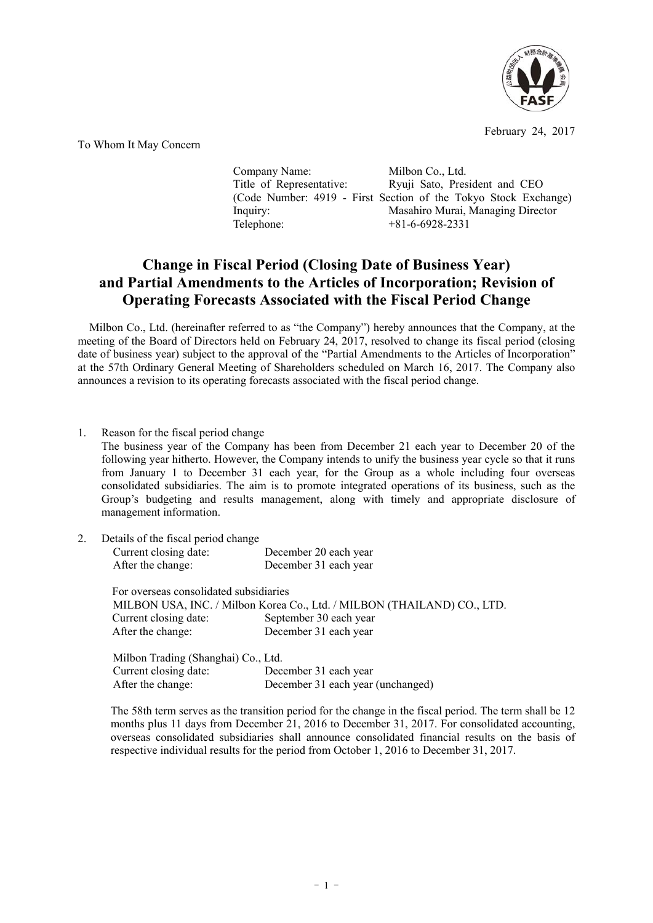

February 24, 2017

To Whom It May Concern

Company Name: Milbon Co., Ltd. Title of Representative: Ryuji Sato, President and CEO (Code Number: 4919 - First Section of the Tokyo Stock Exchange) Inquiry: Masahiro Murai, Managing Director Telephone: +81-6-6928-2331

## **Change in Fiscal Period (Closing Date of Business Year) and Partial Amendments to the Articles of Incorporation; Revision of Operating Forecasts Associated with the Fiscal Period Change**

Milbon Co., Ltd. (hereinafter referred to as "the Company") hereby announces that the Company, at the meeting of the Board of Directors held on February 24, 2017, resolved to change its fiscal period (closing date of business year) subject to the approval of the "Partial Amendments to the Articles of Incorporation" at the 57th Ordinary General Meeting of Shareholders scheduled on March 16, 2017. The Company also announces a revision to its operating forecasts associated with the fiscal period change.

1. Reason for the fiscal period change The business year of the Company has been from December 21 each year to December 20 of the following year hitherto. However, the Company intends to unify the business year cycle so that it runs from January 1 to December 31 each year, for the Group as a whole including four overseas consolidated subsidiaries. The aim is to promote integrated operations of its business, such as the Group's budgeting and results management, along with timely and appropriate disclosure of management information.

| 2. | Details of the fiscal period change                                     |                                                |  |  |  |
|----|-------------------------------------------------------------------------|------------------------------------------------|--|--|--|
|    | Current closing date:                                                   | December 20 each year<br>December 31 each year |  |  |  |
|    | After the change:                                                       |                                                |  |  |  |
|    | For overseas consolidated subsidiaries                                  |                                                |  |  |  |
|    | MILBON USA, INC. / Milbon Korea Co., Ltd. / MILBON (THAILAND) CO., LTD. |                                                |  |  |  |
|    | Current closing date:                                                   | September 30 each year                         |  |  |  |
|    | After the change:                                                       | December 31 each year                          |  |  |  |
|    | Milbon Trading (Shanghai) Co., Ltd.                                     |                                                |  |  |  |
|    | Current closing date:                                                   | December 31 each year                          |  |  |  |
|    | After the change:                                                       | December 31 each year (unchanged)              |  |  |  |

The 58th term serves as the transition period for the change in the fiscal period. The term shall be 12 months plus 11 days from December 21, 2016 to December 31, 2017. For consolidated accounting, overseas consolidated subsidiaries shall announce consolidated financial results on the basis of respective individual results for the period from October 1, 2016 to December 31, 2017.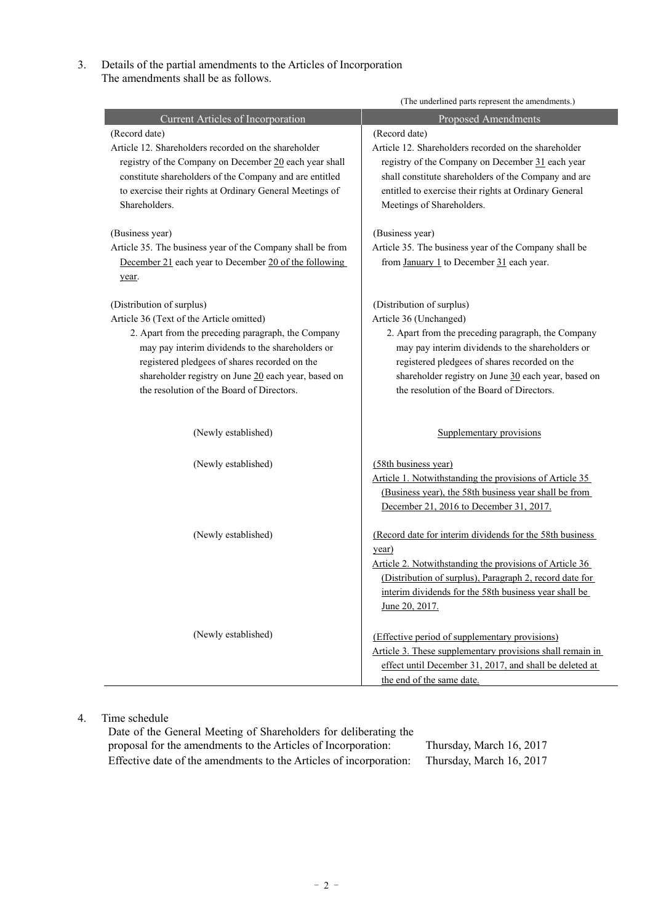3. Details of the partial amendments to the Articles of Incorporation The amendments shall be as follows.

|                                                                                                                                                                                                                                                                                                                                      | (The underlined parts represent the amendments.)                                                                                                                                                                                                                                                                   |  |  |  |
|--------------------------------------------------------------------------------------------------------------------------------------------------------------------------------------------------------------------------------------------------------------------------------------------------------------------------------------|--------------------------------------------------------------------------------------------------------------------------------------------------------------------------------------------------------------------------------------------------------------------------------------------------------------------|--|--|--|
| Current Articles of Incorporation                                                                                                                                                                                                                                                                                                    | <b>Proposed Amendments</b>                                                                                                                                                                                                                                                                                         |  |  |  |
| (Record date)<br>Article 12. Shareholders recorded on the shareholder<br>registry of the Company on December 20 each year shall<br>constitute shareholders of the Company and are entitled<br>to exercise their rights at Ordinary General Meetings of<br>Shareholders.                                                              | (Record date)<br>Article 12. Shareholders recorded on the shareholder<br>registry of the Company on December 31 each year<br>shall constitute shareholders of the Company and are<br>entitled to exercise their rights at Ordinary General<br>Meetings of Shareholders.                                            |  |  |  |
| (Business year)<br>Article 35. The business year of the Company shall be from<br>December 21 each year to December 20 of the following<br>year.                                                                                                                                                                                      | (Business year)<br>Article 35. The business year of the Company shall be<br>from January 1 to December $31$ each year.                                                                                                                                                                                             |  |  |  |
| (Distribution of surplus)<br>Article 36 (Text of the Article omitted)<br>2. Apart from the preceding paragraph, the Company<br>may pay interim dividends to the shareholders or<br>registered pledgees of shares recorded on the<br>shareholder registry on June 20 each year, based on<br>the resolution of the Board of Directors. | (Distribution of surplus)<br>Article 36 (Unchanged)<br>2. Apart from the preceding paragraph, the Company<br>may pay interim dividends to the shareholders or<br>registered pledgees of shares recorded on the<br>shareholder registry on June 30 each year, based on<br>the resolution of the Board of Directors. |  |  |  |
| (Newly established)                                                                                                                                                                                                                                                                                                                  | Supplementary provisions                                                                                                                                                                                                                                                                                           |  |  |  |
| (Newly established)                                                                                                                                                                                                                                                                                                                  | (58th business year)<br>Article 1. Notwithstanding the provisions of Article 35<br>(Business year), the 58th business year shall be from<br>December 21, 2016 to December 31, 2017.                                                                                                                                |  |  |  |
| (Newly established)                                                                                                                                                                                                                                                                                                                  | (Record date for interim dividends for the 58th business<br>year)<br>Article 2. Notwithstanding the provisions of Article 36<br>(Distribution of surplus), Paragraph 2, record date for<br>interim dividends for the 58th business year shall be<br>June 20, 2017.                                                 |  |  |  |
| (Newly established)                                                                                                                                                                                                                                                                                                                  | (Effective period of supplementary provisions)<br>Article 3. These supplementary provisions shall remain in<br>effect until December 31, 2017, and shall be deleted at<br>the end of the same date.                                                                                                                |  |  |  |

## 4. Time schedule

Date of the General Meeting of Shareholders for deliberating the proposal for the amendments to the Articles of Incorporation: Thursday, March 16, 2017 Effective date of the amendments to the Articles of incorporation: Thursday, March 16, 2017